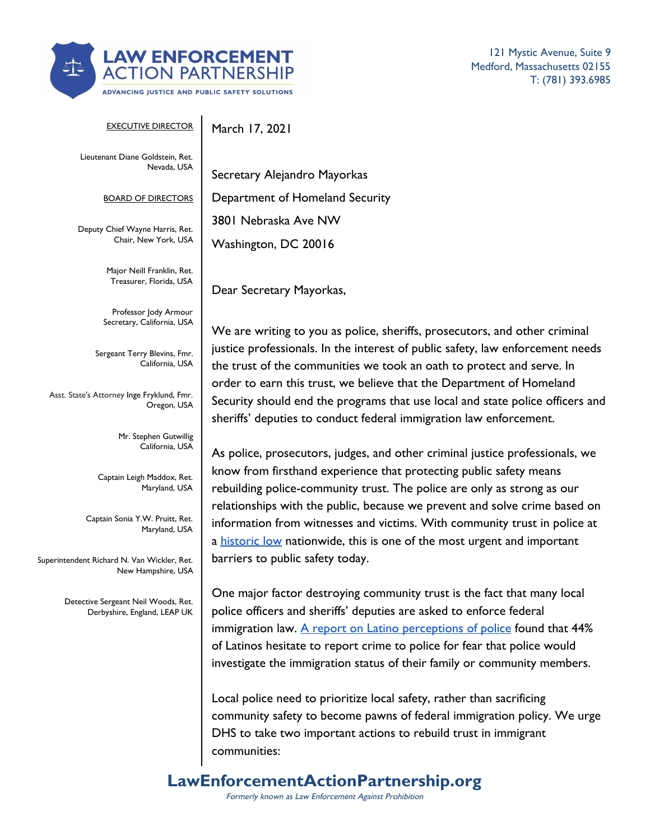

121 Mystic Avenue, Suite 9 Medford, Massachusetts 02155 T: (781) 393.6985

| <b>EXECUTIVE DIRECTOR</b>                                           | March 17, 2021                                                                                                                                                                                  |
|---------------------------------------------------------------------|-------------------------------------------------------------------------------------------------------------------------------------------------------------------------------------------------|
| Lieutenant Diane Goldstein, Ret.<br>Nevada, USA                     | Secretary Alejandro Mayorkas                                                                                                                                                                    |
| <b>BOARD OF DIRECTORS</b>                                           | Department of Homeland Security                                                                                                                                                                 |
| Deputy Chief Wayne Harris, Ret.<br>Chair, New York, USA             | 3801 Nebraska Ave NW<br>Washington, DC 20016                                                                                                                                                    |
| Major Neill Franklin, Ret.<br>Treasurer, Florida, USA               | Dear Secretary Mayorkas,                                                                                                                                                                        |
| Professor Jody Armour<br>Secretary, California, USA                 | We are writing to you as police, sh                                                                                                                                                             |
| Sergeant Terry Blevins, Fmr.<br>California, USA                     | justice professionals. In the interest<br>the trust of the communities we to                                                                                                                    |
| Asst. State's Attorney Inge Fryklund, Fmr.<br>Oregon, USA           | order to earn this trust, we believe<br>Security should end the programs t<br>sheriffs' deputies to conduct federa                                                                              |
| Mr. Stephen Gutwillig<br>California, USA                            | As police, prosecutors, judges, and                                                                                                                                                             |
| Captain Leigh Maddox, Ret.<br>Maryland, USA                         | know from firsthand experience th<br>rebuilding police-community trust.<br>relationships with the public, becau                                                                                 |
| Captain Sonia Y.W. Pruitt, Ret.<br>Maryland, USA                    | information from witnesses and vic<br>a historic low nationwide, this is or                                                                                                                     |
| Superintendent Richard N. Van Wickler, Ret.<br>New Hampshire, USA   | barriers to public safety today.                                                                                                                                                                |
| Detective Sergeant Neil Woods, Ret.<br>Derbyshire, England, LEAP UK | One major factor destroying comn<br>police officers and sheriffs' deputies<br>immigration law. A report on Latin<br>of Latinos hesitate to report crime<br>investigate the immigration status o |
|                                                                     | Local police need to prioritize loca<br>community safety to become pawn                                                                                                                         |

s police, sheriffs, prosecutors, and other criminal he interest of public safety, law enforcement needs ities we took an oath to protect and serve. In we believe that the Department of Homeland orograms that use local and state police officers and luct federal immigration law enforcement.

udges, and other criminal justice professionals, we erience that protecting public safety means nity trust. The police are only as strong as our blic, because we prevent and solve crime based on ses and victims. With community trust in police at e, this is one of the most urgent and important today.

ying community trust is the fact that many local fs' deputies are asked to enforce federal rt on Latino perceptions of police found that 44% oort crime to police for fear that police would on status of their family or community members.

ritize local safety, rather than sacrificing ome pawns of federal immigration policy. We urge DHS to take two important actions to rebuild trust in immigrant communities:

# **LawEnforcementActionPartnership.org**

Formerly known as Law Enforcement Against Prohibition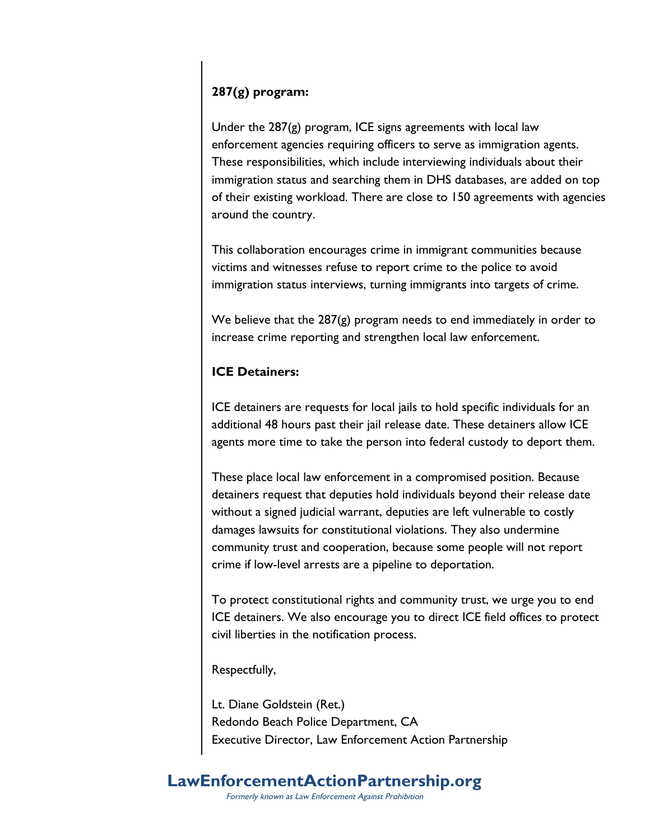### **287(g) program:**

Under the 287(g) program, ICE signs agreements with local law enforcement agencies requiring officers to serve as immigration agents. These responsibilities, which include interviewing individuals about their immigration status and searching them in DHS databases, are added on top of their existing workload. There are close to 150 agreements with agencies around the country.

This collaboration encourages crime in immigrant communities because victims and witnesses refuse to report crime to the police to avoid immigration status interviews, turning immigrants into targets of crime.

We believe that the 287(g) program needs to end immediately in order to increase crime reporting and strengthen local law enforcement.

#### **ICE Detainers:**

ICE detainers are requests for local jails to hold specific individuals for an additional 48 hours past their jail release date. These detainers allow ICE agents more time to take the person into federal custody to deport them.

These place local law enforcement in a compromised position. Because detainers request that deputies hold individuals beyond their release date without a signed judicial warrant, deputies are left vulnerable to costly damages lawsuits for constitutional violations. They also undermine community trust and cooperation, because some people will not report crime if low-level arrests are a pipeline to deportation.

To protect constitutional rights and community trust, we urge you to end ICE detainers. We also encourage you to direct ICE field offices to protect civil liberties in the notification process.

Respectfully,

Lt. Diane Goldstein (Ret.) Redondo Beach Police Department, CA Executive Director, Law Enforcement Action Partnership

#### **LawEnforcementActionPartnership.org** Formerly known as Law Enforcement Against Prohibition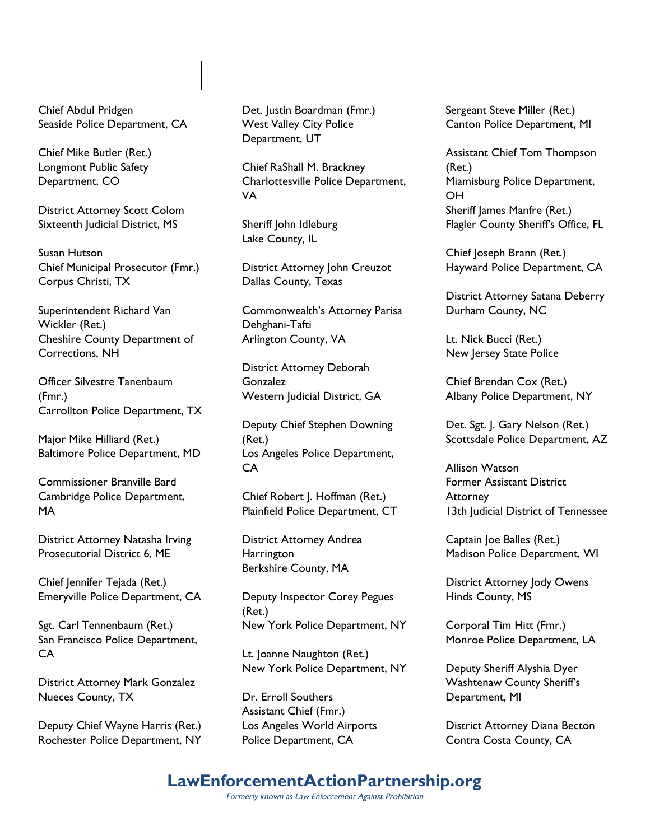Chief Abdul Pridgen Seaside Police Department, CA

Chief Mike Butler (Ret.) Longmont Public Safety Department, CO

District Attorney Scott Colom Sixteenth Judicial District, MS

Susan Hutson Chief Municipal Prosecutor (Fmr.) Corpus Christi, TX

Superintendent Richard Van Wickler (Ret.) Cheshire County Department of Corrections, NH

Officer Silvestre Tanenbaum (Fmr.) Carrollton Police Department, TX

Major Mike Hilliard (Ret.) Baltimore Police Department, MD

Commissioner Branville Bard Cambridge Police Department, MA

District Attorney Natasha Irving Prosecutorial District 6, ME

Chief Jennifer Tejada (Ret.) Emeryville Police Department, CA

Sgt. Carl Tennenbaum (Ret.) San Francisco Police Department, CA

District Attorney Mark Gonzalez Nueces County, TX

Deputy Chief Wayne Harris (Ret.) Rochester Police Department, NY Det. Justin Boardman (Fmr.) West Valley City Police Department, UT

Chief RaShall M. Brackney Charlottesville Police Department, VA

Sheriff John Idleburg Lake County, IL

District Attorney John Creuzot Dallas County, Texas

Commonwealth's Attorney Parisa Dehghani-Tafti Arlington County, VA

District Attorney Deborah Gonzalez Western Judicial District, GA

Deputy Chief Stephen Downing (Ret.) Los Angeles Police Department, CA

Chief Robert J. Hoffman (Ret.) Plainfield Police Department, CT

District Attorney Andrea **Harrington** Berkshire County, MA

Deputy Inspector Corey Pegues (Ret.) New York Police Department, NY

Lt. Joanne Naughton (Ret.) New York Police Department, NY

Dr. Erroll Southers Assistant Chief (Fmr.) Los Angeles World Airports Police Department, CA

Sergeant Steve Miller (Ret.) Canton Police Department, MI

Assistant Chief Tom Thompson (Ret.) Miamisburg Police Department, OH Sheriff James Manfre (Ret.) Flagler County Sheriff's Office, FL

Chief Joseph Brann (Ret.) Hayward Police Department, CA

District Attorney Satana Deberry Durham County, NC

Lt. Nick Bucci (Ret.) New Jersey State Police

Chief Brendan Cox (Ret.) Albany Police Department, NY

Det. Sgt. J. Gary Nelson (Ret.) Scottsdale Police Department, AZ

Allison Watson Former Assistant District **Attorney** 13th Judicial District of Tennessee

Captain Joe Balles (Ret.) Madison Police Department, WI

District Attorney Jody Owens Hinds County, MS

Corporal Tim Hitt (Fmr.) Monroe Police Department, LA

Deputy Sheriff Alyshia Dyer Washtenaw County Sheriff's Department, MI

District Attorney Diana Becton Contra Costa County, CA

## **LawEnforcementActionPartnership.org**

Formerly known as Law Enforcement Against Prohibition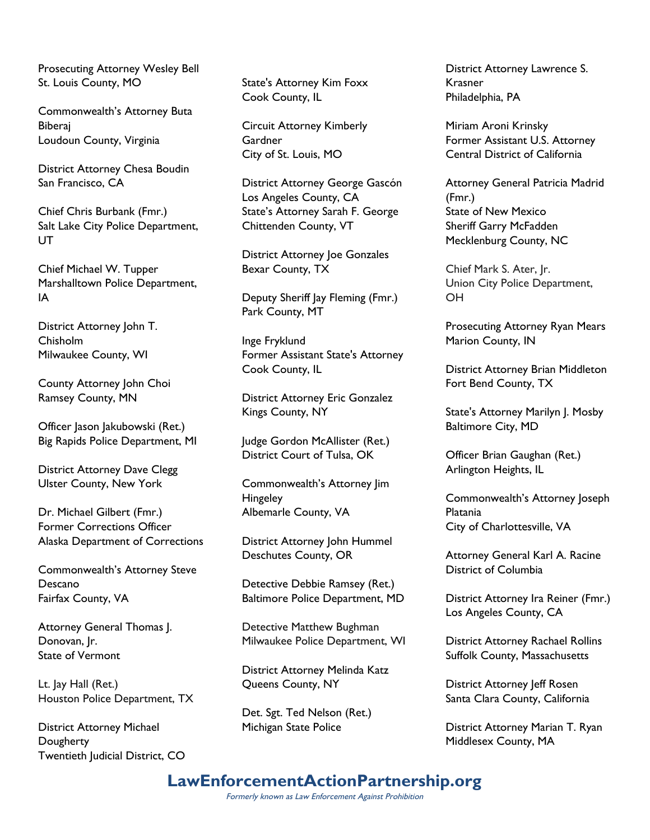Prosecuting Attorney Wesley Bell St. Louis County, MO

Commonwealth's Attorney Buta Biberaj Loudoun County, Virginia

District Attorney Chesa Boudin San Francisco, CA

Chief Chris Burbank (Fmr.) Salt Lake City Police Department, UT

Chief Michael W. Tupper Marshalltown Police Department, IA

District Attorney John T. Chisholm Milwaukee County, WI

County Attorney John Choi Ramsey County, MN

Officer Jason Jakubowski (Ret.) Big Rapids Police Department, MI

District Attorney Dave Clegg Ulster County, New York

Dr. Michael Gilbert (Fmr.) Former Corrections Officer Alaska Department of Corrections

Commonwealth's Attorney Steve Descano Fairfax County, VA

Attorney General Thomas J. Donovan, Jr. State of Vermont

Lt. Jay Hall (Ret.) Houston Police Department, TX

District Attorney Michael **Dougherty** Twentieth Judicial District, CO State's Attorney Kim Foxx Cook County, IL

Circuit Attorney Kimberly **Gardner** City of St. Louis, MO

District Attorney George Gascón Los Angeles County, CA State's Attorney Sarah F. George Chittenden County, VT

District Attorney Joe Gonzales Bexar County, TX

Deputy Sheriff Jay Fleming (Fmr.) Park County, MT

Inge Fryklund Former Assistant State's Attorney Cook County, IL

District Attorney Eric Gonzalez Kings County, NY

Judge Gordon McAllister (Ret.) District Court of Tulsa, OK

Commonwealth's Attorney Jim **Hingeley** Albemarle County, VA

District Attorney John Hummel Deschutes County, OR

Detective Debbie Ramsey (Ret.) Baltimore Police Department, MD

Detective Matthew Bughman Milwaukee Police Department, WI

District Attorney Melinda Katz Queens County, NY

Det. Sgt. Ted Nelson (Ret.) Michigan State Police

District Attorney Lawrence S. Krasner Philadelphia, PA

Miriam Aroni Krinsky Former Assistant U.S. Attorney Central District of California

Attorney General Patricia Madrid (Fmr.) State of New Mexico Sheriff Garry McFadden Mecklenburg County, NC

Chief Mark S. Ater, Jr. Union City Police Department, OH

Prosecuting Attorney Ryan Mears Marion County, IN

District Attorney Brian Middleton Fort Bend County, TX

State's Attorney Marilyn J. Mosby Baltimore City, MD

Officer Brian Gaughan (Ret.) Arlington Heights, IL

Commonwealth's Attorney Joseph Platania City of Charlottesville, VA

Attorney General Karl A. Racine District of Columbia

District Attorney Ira Reiner (Fmr.) Los Angeles County, CA

District Attorney Rachael Rollins Suffolk County, Massachusetts

District Attorney Jeff Rosen Santa Clara County, California

District Attorney Marian T. Ryan Middlesex County, MA

### **LawEnforcementActionPartnership.org**

Formerly known as Law Enforcement Against Prohibition